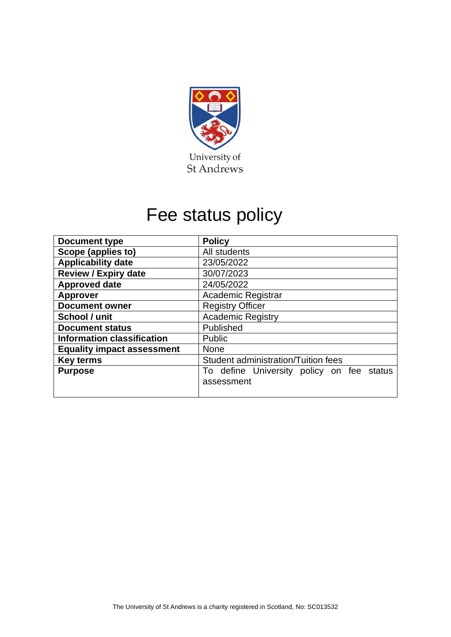

# Fee status policy

| <b>Document type</b>              | <b>Policy</b>                             |  |  |  |
|-----------------------------------|-------------------------------------------|--|--|--|
| Scope (applies to)                | All students                              |  |  |  |
| <b>Applicability date</b>         | 23/05/2022                                |  |  |  |
| <b>Review / Expiry date</b>       | 30/07/2023                                |  |  |  |
| <b>Approved date</b>              | 24/05/2022                                |  |  |  |
| <b>Approver</b>                   | Academic Registrar                        |  |  |  |
| <b>Document owner</b>             | <b>Registry Officer</b>                   |  |  |  |
| School / unit                     | <b>Academic Registry</b>                  |  |  |  |
| <b>Document status</b>            | Published                                 |  |  |  |
| <b>Information classification</b> | <b>Public</b>                             |  |  |  |
| <b>Equality impact assessment</b> | <b>None</b>                               |  |  |  |
| <b>Key terms</b>                  | Student administration/Tuition fees       |  |  |  |
| <b>Purpose</b>                    | To define University policy on fee status |  |  |  |
|                                   | assessment                                |  |  |  |
|                                   |                                           |  |  |  |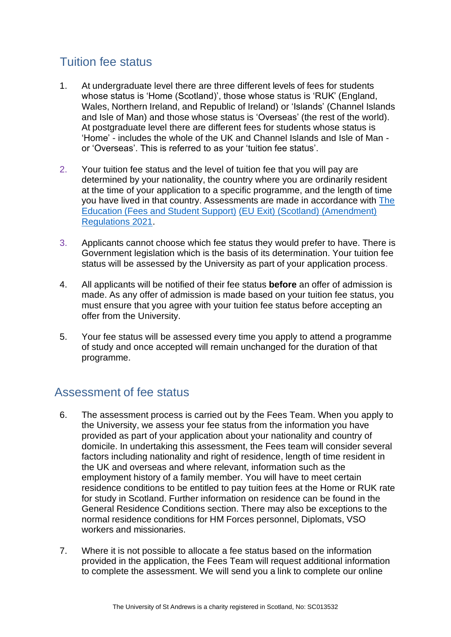# Tuition fee status

- 1. At undergraduate level there are three different levels of fees for students whose status is 'Home (Scotland)', those whose status is 'RUK' (England, Wales, Northern Ireland, and Republic of Ireland) or 'Islands' (Channel Islands and Isle of Man) and those whose status is 'Overseas' (the rest of the world). At postgraduate level there are different fees for students whose status is 'Home' - includes the whole of the UK and Channel Islands and Isle of Man or 'Overseas'. This is referred to as your 'tuition fee status'.
- 2. Your tuition fee status and the level of tuition fee that you will pay are determined by your nationality, the country where you are ordinarily resident at the time of your application to a specific programme, and the length of time you have lived in that country. Assessments are made in accordance with [The](https://www.legislation.gov.uk/ssi/2021/28/contents/made)  [Education](https://www.legislation.gov.uk/ssi/2021/28/contents/made) (Fees and Student Support) [\(EU Exit\) \(Scotland\) \(Amendment\)](https://www.legislation.gov.uk/ssi/2021/28/contents/made)  [Regulations 2021.](https://www.legislation.gov.uk/ssi/2021/28/contents/made)
- 3. Applicants cannot choose which fee status they would prefer to have. There is Government legislation which is the basis of its determination. Your tuition fee status will be assessed by the University as part of your application process.
- 4. All applicants will be notified of their fee status **before** an offer of admission is made. As any offer of admission is made based on your tuition fee status, you must ensure that you agree with your tuition fee status before accepting an offer from the University.
- 5. Your fee status will be assessed every time you apply to attend a programme of study and once accepted will remain unchanged for the duration of that programme.

## Assessment of fee status

- 6. The assessment process is carried out by the Fees Team. When you apply to the University, we assess your fee status from the information you have provided as part of your application about your nationality and country of domicile. In undertaking this assessment, the Fees team will consider several factors including nationality and right of residence, length of time resident in the UK and overseas and where relevant, information such as the employment history of a family member. You will have to meet certain residence conditions to be entitled to pay tuition fees at the Home or RUK rate for study in Scotland. Further information on residence can be found in the General Residence Conditions section. There may also be exceptions to the normal residence conditions for HM Forces personnel, Diplomats, VSO workers and missionaries.
- 7. Where it is not possible to allocate a fee status based on the information provided in the application, the Fees Team will request additional information to complete the assessment. We will send you a link to complete our online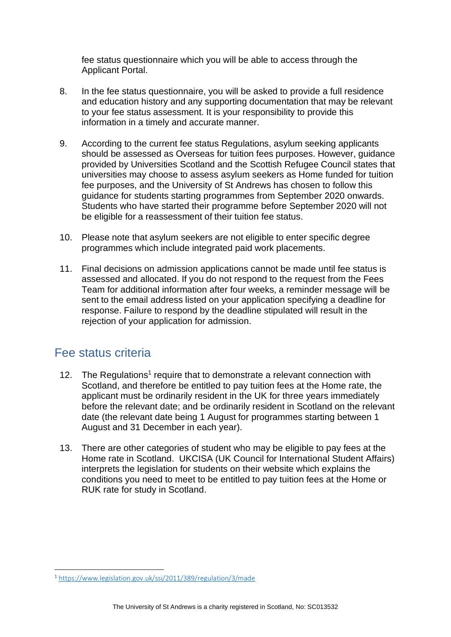fee status questionnaire which you will be able to access through the Applicant Portal.

- 8. In the fee status questionnaire, you will be asked to provide a full residence and education history and any supporting documentation that may be relevant to your fee status assessment. It is your responsibility to provide this information in a timely and accurate manner.
- 9. According to the current fee status Regulations, asylum seeking applicants should be assessed as Overseas for tuition fees purposes. However, guidance provided by Universities Scotland and the Scottish Refugee Council states that universities may choose to assess asylum seekers as Home funded for tuition fee purposes, and the University of St Andrews has chosen to follow this guidance for students starting programmes from September 2020 onwards. Students who have started their programme before September 2020 will not be eligible for a reassessment of their tuition fee status.
- 10. Please note that asylum seekers are not eligible to enter specific degree programmes which include integrated paid work placements.
- 11. Final decisions on admission applications cannot be made until fee status is assessed and allocated. If you do not respond to the request from the Fees Team for additional information after four weeks, a reminder message will be sent to the email address listed on your application specifying a deadline for response. Failure to respond by the deadline stipulated will result in the rejection of your application for admission.

## Fee status criteria

- 12. The Regulations<sup>1</sup> require that to demonstrate a relevant connection with Scotland, and therefore be entitled to pay tuition fees at the Home rate, the applicant must be ordinarily resident in the UK for three years immediately before the relevant date; and be ordinarily resident in Scotland on the relevant date (the relevant date being 1 August for programmes starting between 1 August and 31 December in each year).
- 13. There are other categories of student who may be eligible to pay fees at the Home rate in Scotland. UKCISA (UK Council for International Student Affairs) interprets the legislation for students on their website which explains the conditions you need to meet to be entitled to pay tuition fees at the Home or RUK rate for study in Scotland.

<sup>1</sup> <https://www.legislation.gov.uk/ssi/2011/389/regulation/3/made>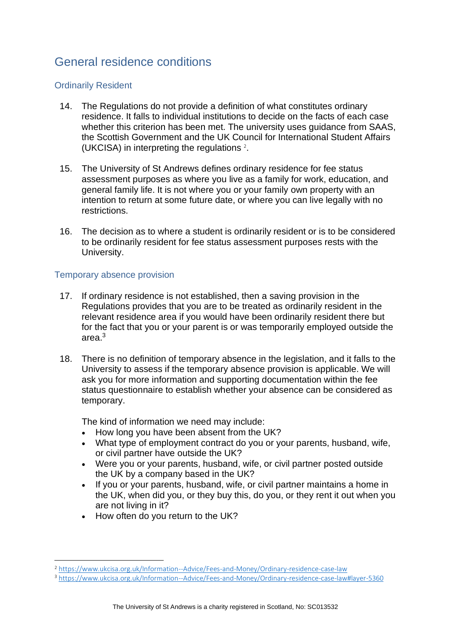# General residence conditions

#### Ordinarily Resident

- 14. The Regulations do not provide a definition of what constitutes ordinary residence. It falls to individual institutions to decide on the facts of each case whether this criterion has been met. The university uses guidance from SAAS, the Scottish Government and the UK Council for International Student Affairs (UKCISA) in interpreting the regulations <sup>2</sup> .
- 15. The University of St Andrews defines ordinary residence for fee status assessment purposes as where you live as a family for work, education, and general family life. It is not where you or your family own property with an intention to return at some future date, or where you can live legally with no restrictions.
- 16. The decision as to where a student is ordinarily resident or is to be considered to be ordinarily resident for fee status assessment purposes rests with the University.

#### Temporary absence provision

- 17. If ordinary residence is not established, then a saving provision in the Regulations provides that you are to be treated as ordinarily resident in the relevant residence area if you would have been ordinarily resident there but for the fact that you or your parent is or was temporarily employed outside the area $3<sup>3</sup>$
- 18. There is no definition of temporary absence in the legislation, and it falls to the University to assess if the temporary absence provision is applicable. We will ask you for more information and supporting documentation within the fee status questionnaire to establish whether your absence can be considered as temporary.

The kind of information we need may include:

- How long you have been absent from the UK?
- What type of employment contract do you or your parents, husband, wife, or civil partner have outside the UK?
- Were you or your parents, husband, wife, or civil partner posted outside the UK by a company based in the UK?
- If you or your parents, husband, wife, or civil partner maintains a home in the UK, when did you, or they buy this, do you, or they rent it out when you are not living in it?
- How often do you return to the UK?

<sup>2</sup> <https://www.ukcisa.org.uk/Information--Advice/Fees-and-Money/Ordinary-residence-case-law>

<sup>3</sup> <https://www.ukcisa.org.uk/Information--Advice/Fees-and-Money/Ordinary-residence-case-law#layer-5360>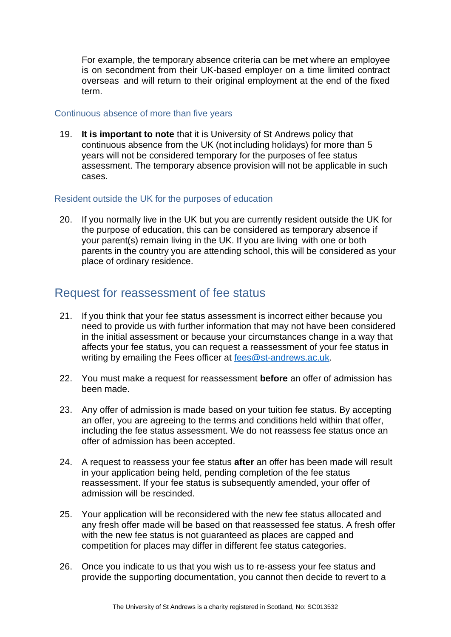For example, the temporary absence criteria can be met where an employee is on secondment from their UK-based employer on a time limited contract overseas and will return to their original employment at the end of the fixed term.

#### Continuous absence of more than five years

19. **It is important to note** that it is University of St Andrews policy that continuous absence from the UK (not including holidays) for more than 5 years will not be considered temporary for the purposes of fee status assessment. The temporary absence provision will not be applicable in such cases.

#### Resident outside the UK for the purposes of education

20. If you normally live in the UK but you are currently resident outside the UK for the purpose of education, this can be considered as temporary absence if your parent(s) remain living in the UK. If you are living with one or both parents in the country you are attending school, this will be considered as your place of ordinary residence.

## Request for reassessment of fee status

- 21. If you think that your fee status assessment is incorrect either because you need to provide us with further information that may not have been considered in the initial assessment or because your circumstances change in a way that affects your fee status, you can request a reassessment of your fee status in writing by emailing the Fees officer at [fees@st-andrews.ac.uk.](mailto:fees@st-andrews.ac.uk)
- 22. You must make a request for reassessment **before** an offer of admission has been made.
- 23. Any offer of admission is made based on your tuition fee status. By accepting an offer, you are agreeing to the terms and conditions held within that offer, including the fee status assessment. We do not reassess fee status once an offer of admission has been accepted.
- 24. A request to reassess your fee status **after** an offer has been made will result in your application being held, pending completion of the fee status reassessment. If your fee status is subsequently amended, your offer of admission will be rescinded.
- 25. Your application will be reconsidered with the new fee status allocated and any fresh offer made will be based on that reassessed fee status. A fresh offer with the new fee status is not guaranteed as places are capped and competition for places may differ in different fee status categories.
- 26. Once you indicate to us that you wish us to re-assess your fee status and provide the supporting documentation, you cannot then decide to revert to a